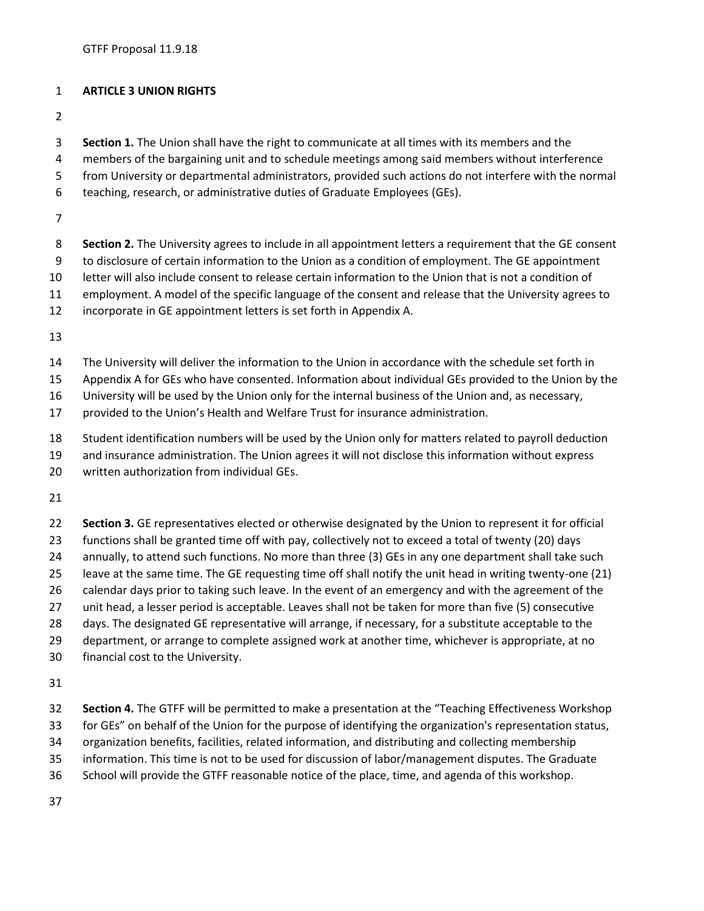## **ARTICLE 3 UNION RIGHTS**

**Section 1.** The Union shall have the right to communicate at all times with its members and the

- members of the bargaining unit and to schedule meetings among said members without interference
- from University or departmental administrators, provided such actions do not interfere with the normal
- teaching, research, or administrative duties of Graduate Employees (GEs).
- 
- **Section 2.** The University agrees to include in all appointment letters a requirement that the GE consent
- to disclosure of certain information to the Union as a condition of employment. The GE appointment
- letter will also include consent to release certain information to the Union that is not a condition of
- employment. A model of the specific language of the consent and release that the University agrees to
- incorporate in GE appointment letters is set forth in Appendix A.
- 
- The University will deliver the information to the Union in accordance with the schedule set forth in
- Appendix A for GEs who have consented. Information about individual GEs provided to the Union by the
- University will be used by the Union only for the internal business of the Union and, as necessary,
- provided to the Union's Health and Welfare Trust for insurance administration.
- Student identification numbers will be used by the Union only for matters related to payroll deduction
- and insurance administration. The Union agrees it will not disclose this information without express
- written authorization from individual GEs.
- 
- **Section 3.** GE representatives elected or otherwise designated by the Union to represent it for official
- functions shall be granted time off with pay, collectively not to exceed a total of twenty (20) days
- annually, to attend such functions. No more than three (3) GEs in any one department shall take such
- leave at the same time. The GE requesting time off shall notify the unit head in writing twenty-one (21)
- calendar days prior to taking such leave. In the event of an emergency and with the agreement of the
- unit head, a lesser period is acceptable. Leaves shall not be taken for more than five (5) consecutive
- days. The designated GE representative will arrange, if necessary, for a substitute acceptable to the
- department, or arrange to complete assigned work at another time, whichever is appropriate, at no
- financial cost to the University.
- 
- **Section 4.** The GTFF will be permitted to make a presentation at the "Teaching Effectiveness Workshop
- for GEs" on behalf of the Union for the purpose of identifying the organization's representation status,
- organization benefits, facilities, related information, and distributing and collecting membership
- information. This time is not to be used for discussion of labor/management disputes. The Graduate
- School will provide the GTFF reasonable notice of the place, time, and agenda of this workshop.
-